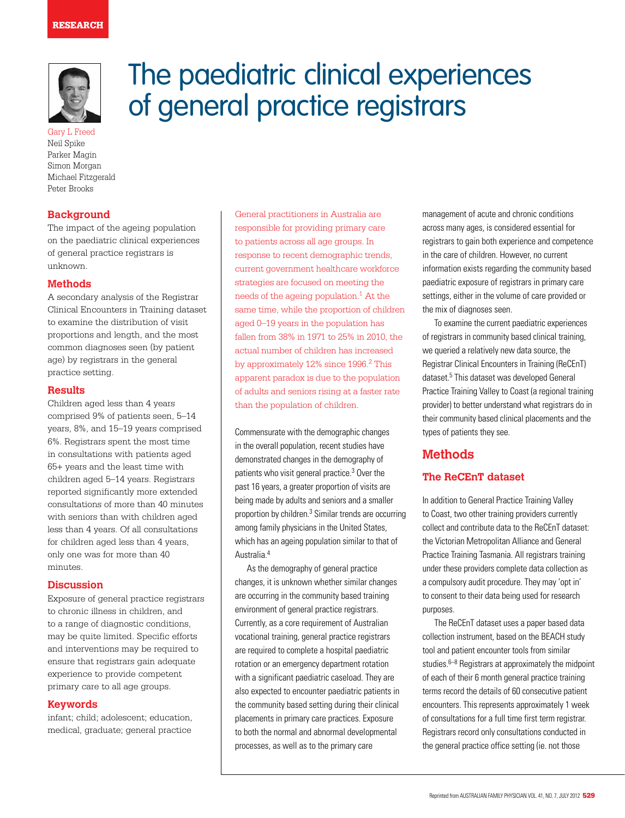

Gary L Freed Neil Spike Parker Magin Simon Morgan Michael Fitzgerald Peter Brooks

# **Background**

The impact of the ageing population on the paediatric clinical experiences of general practice registrars is unknown.

#### **Methods**

A secondary analysis of the Registrar Clinical Encounters in Training dataset to examine the distribution of visit proportions and length, and the most common diagnoses seen (by patient age) by registrars in the general practice setting.

#### **Results**

Children aged less than 4 years comprised 9% of patients seen, 5–14 years, 8%, and 15–19 years comprised 6%. Registrars spent the most time in consultations with patients aged 65+ years and the least time with children aged 5–14 years. Registrars reported significantly more extended consultations of more than 40 minutes with seniors than with children aged less than 4 years. Of all consultations for children aged less than 4 years, only one was for more than 40 minutes.

#### **Discussion**

Exposure of general practice registrars to chronic illness in children, and to a range of diagnostic conditions, may be quite limited. Specific efforts and interventions may be required to ensure that registrars gain adequate experience to provide competent primary care to all age groups.

#### **Keywords**

infant; child; adolescent; education, medical, graduate; general practice

# The paediatric clinical experiences of general practice registrars

General practitioners in Australia are responsible for providing primary care to patients across all age groups. In response to recent demographic trends, current government healthcare workforce strategies are focused on meeting the needs of the ageing population.<sup>1</sup> At the same time, while the proportion of children aged 0–19 years in the population has fallen from 38% in 1971 to 25% in 2010, the actual number of children has increased by approximately 12% since 1996.2 This apparent paradox is due to the population of adults and seniors rising at a faster rate than the population of children.

Commensurate with the demographic changes in the overall population, recent studies have demonstrated changes in the demography of patients who visit general practice.3 Over the past 16 years, a greater proportion of visits are being made by adults and seniors and a smaller proportion by children.<sup>3</sup> Similar trends are occurring among family physicians in the United States, which has an ageing population similar to that of Australia.4

As the demography of general practice changes, it is unknown whether similar changes are occurring in the community based training environment of general practice registrars. Currently, as a core requirement of Australian vocational training, general practice registrars are required to complete a hospital paediatric rotation or an emergency department rotation with a significant paediatric caseload. They are also expected to encounter paediatric patients in the community based setting during their clinical placements in primary care practices. Exposure to both the normal and abnormal developmental processes, as well as to the primary care

management of acute and chronic conditions across many ages, is considered essential for registrars to gain both experience and competence in the care of children. However, no current information exists regarding the community based paediatric exposure of registrars in primary care settings, either in the volume of care provided or the mix of diagnoses seen.

To examine the current paediatric experiences of registrars in community based clinical training, we queried a relatively new data source, the Registrar Clinical Encounters in Training (ReCEnT) dataset.<sup>5</sup> This dataset was developed General Practice Training Valley to Coast (a regional training provider) to better understand what registrars do in their community based clinical placements and the types of patients they see.

# **Methods**

## **The ReCEnT dataset**

In addition to General Practice Training Valley to Coast, two other training providers currently collect and contribute data to the ReCEnT dataset: the Victorian Metropolitan Alliance and General Practice Training Tasmania. All registrars training under these providers complete data collection as a compulsory audit procedure. They may 'opt in' to consent to their data being used for research purposes.

The ReCEnT dataset uses a paper based data collection instrument, based on the BEACH study tool and patient encounter tools from similar studies.<sup>6–8</sup> Registrars at approximately the midpoint of each of their 6 month general practice training terms record the details of 60 consecutive patient encounters. This represents approximately 1 week of consultations for a full time first term registrar. Registrars record only consultations conducted in the general practice office setting (ie. not those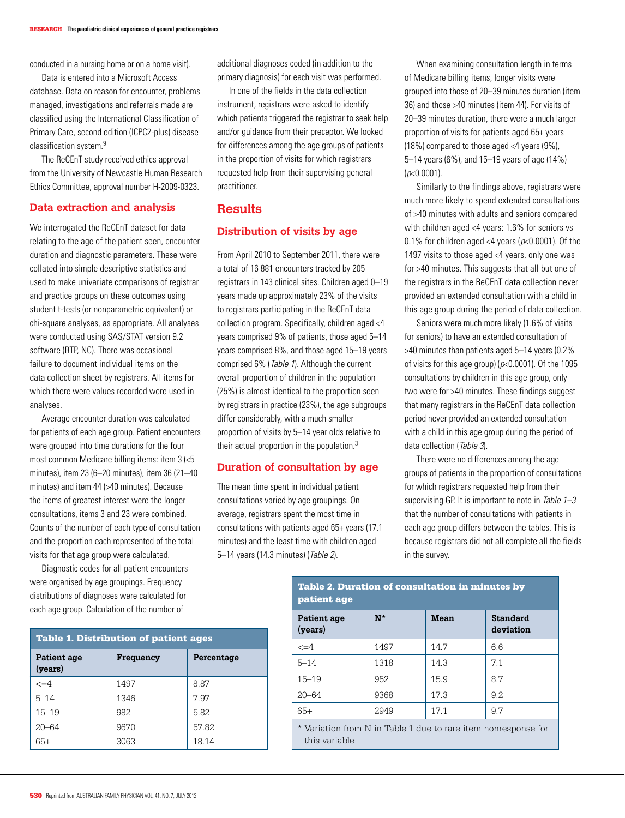conducted in a nursing home or on a home visit).

Data is entered into a Microsoft Access database. Data on reason for encounter, problems managed, investigations and referrals made are classified using the International Classification of Primary Care, second edition (ICPC2-plus) disease classification system.9

The ReCEnT study received ethics approval from the University of Newcastle Human Research Ethics Committee, approval number H-2009-0323.

# **Data extraction and analysis**

We interrogated the ReCEnT dataset for data relating to the age of the patient seen, encounter duration and diagnostic parameters. These were collated into simple descriptive statistics and used to make univariate comparisons of registrar and practice groups on these outcomes using student t-tests (or nonparametric equivalent) or chi-square analyses, as appropriate. All analyses were conducted using SAS/STAT version 9.2 software (RTP, NC). There was occasional failure to document individual items on the data collection sheet by registrars. All items for which there were values recorded were used in analyses.

Average encounter duration was calculated for patients of each age group. Patient encounters were grouped into time durations for the four most common Medicare billing items: item 3 (<5 minutes), item 23 (6–20 minutes), item 36 (21–40 minutes) and item 44 (>40 minutes). Because the items of greatest interest were the longer consultations, items 3 and 23 were combined. Counts of the number of each type of consultation and the proportion each represented of the total visits for that age group were calculated.

Diagnostic codes for all patient encounters were organised by age groupings. Frequency distributions of diagnoses were calculated for each age group. Calculation of the number of

| <b>Table 1. Distribution of patient ages</b> |           |            |  |  |  |
|----------------------------------------------|-----------|------------|--|--|--|
| Patient age<br>(years)                       | Frequency | Percentage |  |  |  |
| $\leq$ = 4                                   | 1497      | 8.87       |  |  |  |
| $5 - 14$                                     | 1346      | 7.97       |  |  |  |
| $15 - 19$                                    | 982       | 5.82       |  |  |  |
| $20 - 64$                                    | 9670      | 57.82      |  |  |  |
| 65+                                          | 3063      | 18.14      |  |  |  |

additional diagnoses coded (in addition to the primary diagnosis) for each visit was performed.

In one of the fields in the data collection instrument, registrars were asked to identify which patients triggered the registrar to seek help and/or guidance from their preceptor. We looked for differences among the age groups of patients in the proportion of visits for which registrars requested help from their supervising general practitioner.

# **Results**

## **Distribution of visits by age**

From April 2010 to September 2011, there were a total of 16 881 encounters tracked by 205 registrars in 143 clinical sites. Children aged 0–19 years made up approximately 23% of the visits to registrars participating in the ReCEnT data collection program. Specifically, children aged <4 years comprised 9% of patients, those aged 5–14 years comprised 8%, and those aged 15–19 years comprised 6% (Table 1). Although the current overall proportion of children in the population (25%) is almost identical to the proportion seen by registrars in practice (23%), the age subgroups differ considerably, with a much smaller proportion of visits by 5–14 year olds relative to their actual proportion in the population.<sup>3</sup>

## **Duration of consultation by age**

The mean time spent in individual patient consultations varied by age groupings. On average, registrars spent the most time in consultations with patients aged 65+ years (17.1 minutes) and the least time with children aged 5–14 years (14.3 minutes) (Table 2).

When examining consultation length in terms of Medicare billing items, longer visits were grouped into those of 20–39 minutes duration (item 36) and those >40 minutes (item 44). For visits of 20–39 minutes duration, there were a much larger proportion of visits for patients aged 65+ years (18%) compared to those aged <4 years (9%), 5–14 years (6%), and 15–19 years of age (14%)  $(p<0.0001)$ .

Similarly to the findings above, registrars were much more likely to spend extended consultations of >40 minutes with adults and seniors compared with children aged <4 years: 1.6% for seniors vs 0.1% for children aged <4 years ( $p$ <0.0001). Of the 1497 visits to those aged <4 years, only one was for >40 minutes. This suggests that all but one of the registrars in the ReCEnT data collection never provided an extended consultation with a child in this age group during the period of data collection.

Seniors were much more likely (1.6% of visits for seniors) to have an extended consultation of >40 minutes than patients aged 5–14 years (0.2% of visits for this age group) ( $p$ <0.0001). Of the 1095 consultations by children in this age group, only two were for >40 minutes. These findings suggest that many registrars in the ReCEnT data collection period never provided an extended consultation with a child in this age group during the period of data collection (Table 3).

There were no differences among the age groups of patients in the proportion of consultations for which registrars requested help from their supervising GP. It is important to note in Table 1-3 that the number of consultations with patients in each age group differs between the tables. This is because registrars did not all complete all the fields in the survey.

| patient age            |       |      |                              |  |  |  |
|------------------------|-------|------|------------------------------|--|--|--|
| Patient age<br>(years) | $N^*$ | Mean | <b>Standard</b><br>deviation |  |  |  |
| $\leq$ = 4             | 1497  | 14.7 | 6.6                          |  |  |  |
| $5 - 14$               | 1318  | 14.3 | 7.1                          |  |  |  |
| $15 - 19$              | 952   | 15.9 | 8.7                          |  |  |  |
| $20 - 64$              | 9368  | 17.3 | 9.2                          |  |  |  |
| $65+$                  | 2949  | 17.1 | 9.7                          |  |  |  |
|                        |       |      |                              |  |  |  |

Table 2. Duration of consultation in minutes by

\* Variation from N in Table 1 due to rare item nonresponse for this variable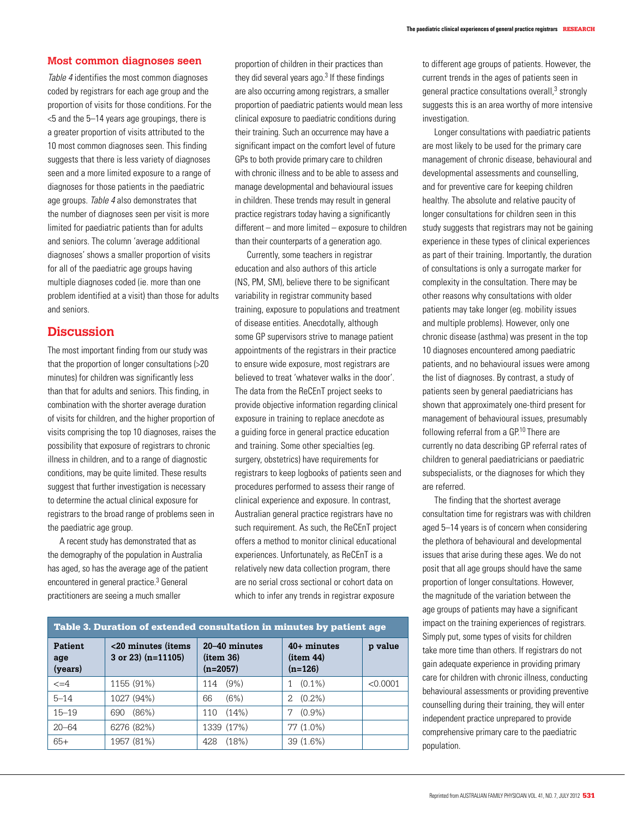## **Most common diagnoses seen**

Table 4 identifies the most common diagnoses coded by registrars for each age group and the proportion of visits for those conditions. For the <5 and the 5–14 years age groupings, there is a greater proportion of visits attributed to the 10 most common diagnoses seen. This finding suggests that there is less variety of diagnoses seen and a more limited exposure to a range of diagnoses for those patients in the paediatric age groups. Table 4 also demonstrates that the number of diagnoses seen per visit is more limited for paediatric patients than for adults and seniors. The column 'average additional diagnoses' shows a smaller proportion of visits for all of the paediatric age groups having multiple diagnoses coded (ie. more than one problem identified at a visit) than those for adults and seniors.

# **Discussion**

The most important finding from our study was that the proportion of longer consultations (>20 minutes) for children was significantly less than that for adults and seniors. This finding, in combination with the shorter average duration of visits for children, and the higher proportion of visits comprising the top 10 diagnoses, raises the possibility that exposure of registrars to chronic illness in children, and to a range of diagnostic conditions, may be quite limited. These results suggest that further investigation is necessary to determine the actual clinical exposure for registrars to the broad range of problems seen in the paediatric age group.

A recent study has demonstrated that as the demography of the population in Australia has aged, so has the average age of the patient encountered in general practice.<sup>3</sup> General practitioners are seeing a much smaller

proportion of children in their practices than they did several years ago.<sup>3</sup> If these findings are also occurring among registrars, a smaller proportion of paediatric patients would mean less clinical exposure to paediatric conditions during their training. Such an occurrence may have a significant impact on the comfort level of future GPs to both provide primary care to children with chronic illness and to be able to assess and manage developmental and behavioural issues in children. These trends may result in general practice registrars today having a significantly different – and more limited – exposure to children than their counterparts of a generation ago.

Currently, some teachers in registrar education and also authors of this article (NS, PM, SM), believe there to be significant variability in registrar community based training, exposure to populations and treatment of disease entities. Anecdotally, although some GP supervisors strive to manage patient appointments of the registrars in their practice to ensure wide exposure, most registrars are believed to treat 'whatever walks in the door'. The data from the ReCEnT project seeks to provide objective information regarding clinical exposure in training to replace anecdote as a guiding force in general practice education and training. Some other specialties (eg. surgery, obstetrics) have requirements for registrars to keep logbooks of patients seen and procedures performed to assess their range of clinical experience and exposure. In contrast, Australian general practice registrars have no such requirement. As such, the ReCEnT project offers a method to monitor clinical educational experiences. Unfortunately, as ReCEnT is a relatively new data collection program, there are no serial cross sectional or cohort data on which to infer any trends in registrar exposure

| Table 3. Duration of extended consultation in minutes by patient age |                                            |                                         |                                        |          |  |  |
|----------------------------------------------------------------------|--------------------------------------------|-----------------------------------------|----------------------------------------|----------|--|--|
| <b>Patient</b><br>age<br>(years)                                     | <20 minutes (items<br>3 or 23) $(n=11105)$ | 20–40 minutes<br>item 36)<br>$(n=2057)$ | $40+$ minutes<br>item 44)<br>$(n=126)$ | p value  |  |  |
| $\leq$ = 4                                                           | 1155 (91%)                                 | $(9\%)$<br>114                          | $(0.1\%)$                              | < 0.0001 |  |  |
| $5 - 14$                                                             | 1027 (94%)                                 | (6%)<br>66                              | $(0.2\%)$<br>2.                        |          |  |  |
| $15 - 19$                                                            | $(86\%)$<br>690                            | (14%)<br>110                            | $(0.9\%)$                              |          |  |  |
| $20 - 64$                                                            | 6276 (82%)                                 | 1339 (17%)                              | 77 (1.0%)                              |          |  |  |
| $65+$                                                                | 1957 (81%)                                 | (18%)<br>428                            | 39 (1.6%)                              |          |  |  |

to different age groups of patients. However, the current trends in the ages of patients seen in general practice consultations overall,<sup>3</sup> strongly suggests this is an area worthy of more intensive investigation.

Longer consultations with paediatric patients are most likely to be used for the primary care management of chronic disease, behavioural and developmental assessments and counselling, and for preventive care for keeping children healthy. The absolute and relative paucity of longer consultations for children seen in this study suggests that registrars may not be gaining experience in these types of clinical experiences as part of their training. Importantly, the duration of consultations is only a surrogate marker for complexity in the consultation. There may be other reasons why consultations with older patients may take longer (eg. mobility issues and multiple problems). However, only one chronic disease (asthma) was present in the top 10 diagnoses encountered among paediatric patients, and no behavioural issues were among the list of diagnoses. By contrast, a study of patients seen by general paediatricians has shown that approximately one-third present for management of behavioural issues, presumably following referral from a GP.<sup>10</sup> There are currently no data describing GP referral rates of children to general paediatricians or paediatric subspecialists, or the diagnoses for which they are referred.

The finding that the shortest average consultation time for registrars was with children aged 5–14 years is of concern when considering the plethora of behavioural and developmental issues that arise during these ages. We do not posit that all age groups should have the same proportion of longer consultations. However, the magnitude of the variation between the age groups of patients may have a significant impact on the training experiences of registrars. Simply put, some types of visits for children take more time than others. If registrars do not gain adequate experience in providing primary care for children with chronic illness, conducting behavioural assessments or providing preventive counselling during their training, they will enter independent practice unprepared to provide comprehensive primary care to the paediatric population.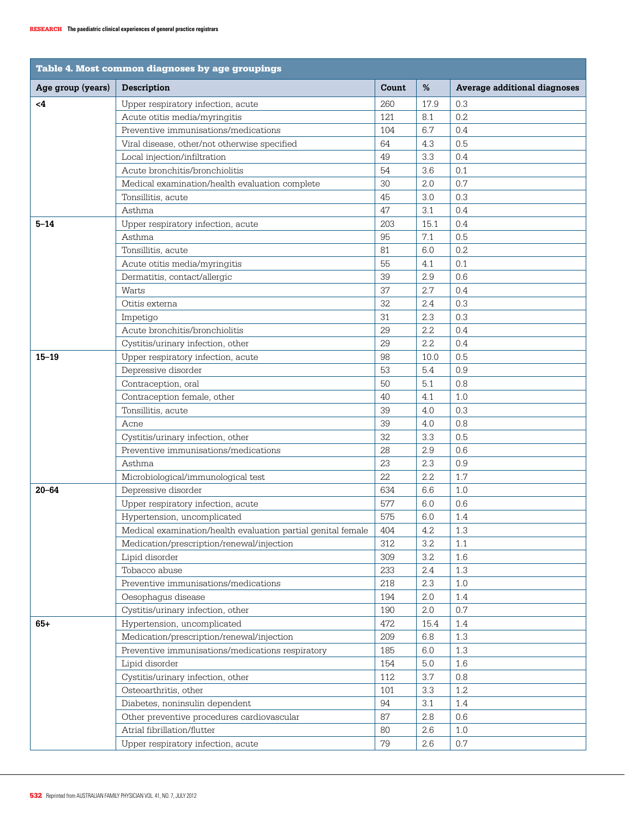| Table 4. Most common diagnoses by age groupings |                                                              |       |      |                              |
|-------------------------------------------------|--------------------------------------------------------------|-------|------|------------------------------|
| Age group (years)                               | Description                                                  | Count | %    | Average additional diagnoses |
| -4                                              | Upper respiratory infection, acute                           | 260   | 17.9 | 0.3                          |
|                                                 | Acute otitis media/myringitis                                | 121   | 8.1  | 0.2                          |
|                                                 | Preventive immunisations/medications                         | 104   | 6.7  | 0.4                          |
|                                                 | Viral disease, other/not otherwise specified                 | 64    | 4.3  | 0.5                          |
|                                                 | Local injection/infiltration                                 | 49    | 3.3  | 0.4                          |
|                                                 | Acute bronchitis/bronchiolitis                               | 54    | 3.6  | 0.1                          |
|                                                 | Medical examination/health evaluation complete               | 30    | 2.0  | 0.7                          |
|                                                 | Tonsillitis, acute                                           | 45    | 3.0  | 0.3                          |
|                                                 | Asthma                                                       | 47    | 3.1  | 0.4                          |
| $5 - 14$                                        | Upper respiratory infection, acute                           | 203   | 15.1 | 0.4                          |
|                                                 | Asthma                                                       | 95    | 7.1  | 0.5                          |
|                                                 | Tonsillitis, acute                                           | 81    | 6.0  | 0.2                          |
|                                                 | Acute otitis media/myringitis                                | 55    | 4.1  | 0.1                          |
|                                                 | Dermatitis, contact/allergic                                 | 39    | 2.9  | 0.6                          |
|                                                 | Warts                                                        | 37    | 2.7  | 0.4                          |
|                                                 | Otitis externa                                               | 32    | 2.4  | 0.3                          |
|                                                 | Impetigo                                                     | 31    | 2.3  | 0.3                          |
|                                                 | Acute bronchitis/bronchiolitis                               | 29    | 2.2  | 0.4                          |
|                                                 | Cystitis/urinary infection, other                            | 29    | 2.2  | 0.4                          |
| $15 - 19$                                       | Upper respiratory infection, acute                           | 98    | 10.0 | 0.5                          |
|                                                 | Depressive disorder                                          | 53    | 5.4  | 0.9                          |
|                                                 | Contraception, oral                                          | 50    | 5.1  | 0.8                          |
|                                                 | Contraception female, other                                  | 40    | 4.1  | 1.0                          |
|                                                 | Tonsillitis, acute                                           | 39    | 4.0  | 0.3                          |
|                                                 | Acne                                                         | 39    | 4.0  | 0.8                          |
|                                                 | Cystitis/urinary infection, other                            | 32    | 3.3  | 0.5                          |
|                                                 | Preventive immunisations/medications                         | 28    | 2.9  | 0.6                          |
|                                                 | Asthma                                                       | 23    | 2.3  | 0.9                          |
|                                                 | Microbiological/immunological test                           | 22    | 2.2  | 1.7                          |
| $20 - 64$                                       | Depressive disorder                                          | 634   | 6.6  | 1.0                          |
|                                                 | Upper respiratory infection, acute                           | 577   | 6.0  | 0.6                          |
|                                                 | Hypertension, uncomplicated                                  | 575   | 6.0  | 1.4                          |
|                                                 | Medical examination/health evaluation partial genital female | 404   | 4.2  | 1.3                          |
|                                                 | Medication/prescription/renewal/injection                    | 312   | 3.2  | 1.1                          |
|                                                 | Lipid disorder                                               | 309   | 3.2  | 1.6                          |
|                                                 | Tobacco abuse                                                | 233   | 2.4  | 1.3                          |
|                                                 | Preventive immunisations/medications                         | 218   | 2.3  | $1.0\,$                      |
|                                                 | Oesophagus disease                                           | 194   | 2.0  | 1.4                          |
|                                                 | Cystitis/urinary infection, other                            | 190   | 2.0  | 0.7                          |
| 65+                                             | Hypertension, uncomplicated                                  | 472   | 15.4 | 1.4                          |
|                                                 | Medication/prescription/renewal/injection                    | 209   | 6.8  | 1.3                          |
|                                                 | Preventive immunisations/medications respiratory             | 185   | 6.0  | 1.3                          |
|                                                 | Lipid disorder                                               | 154   | 5.0  | 1.6                          |
|                                                 | Cystitis/urinary infection, other                            | 112   | 3.7  | 0.8                          |
|                                                 | Osteoarthritis, other                                        | 101   | 3.3  | 1.2                          |
|                                                 | Diabetes, noninsulin dependent                               | 94    | 3.1  | 1.4                          |
|                                                 | Other preventive procedures cardiovascular                   | 87    | 2.8  | 0.6                          |
|                                                 | Atrial fibrillation/flutter                                  | 80    | 2.6  | 1.0                          |
|                                                 | Upper respiratory infection, acute                           | 79    | 2.6  | 0.7                          |